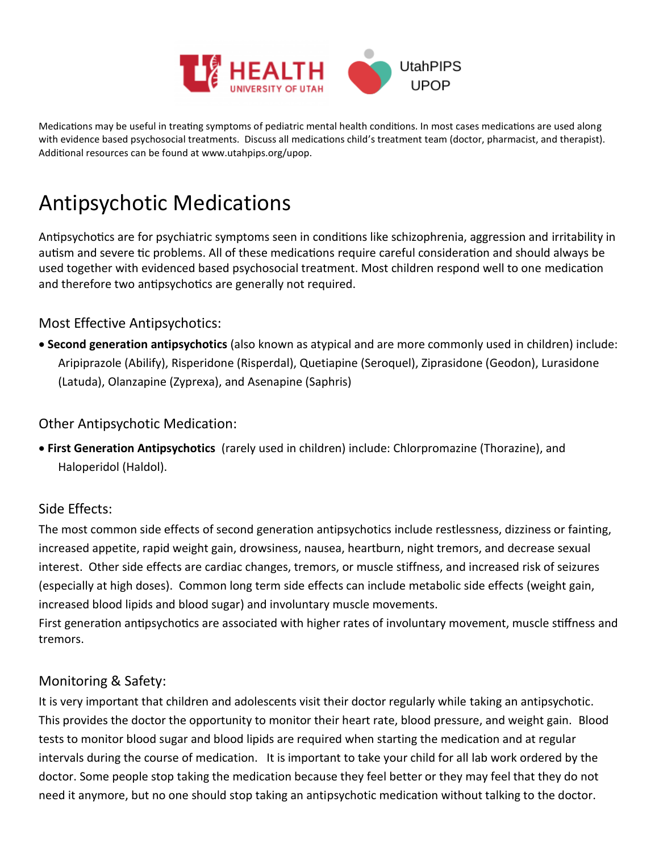

Medications may be useful in treating symptoms of pediatric mental health conditions. In most cases medications are used along with evidence based psychosocial treatments. Discuss all medications child's treatment team (doctor, pharmacist, and therapist). Additional resources can be found at www.utahpips.org/upop.

# Antipsychotic Medications

Antipsychotics are for psychiatric symptoms seen in conditions like schizophrenia, aggression and irritability in autism and severe tic problems. All of these medications require careful consideration and should always be used together with evidenced based psychosocial treatment. Most children respond well to one medication and therefore two antipsychotics are generally not required.

## Most Effective Antipsychotics:

 **Second generation antipsychotics** (also known as atypical and are more commonly used in children) include: Aripiprazole (Abilify), Risperidone (Risperdal), Quetiapine (Seroquel), Ziprasidone (Geodon), Lurasidone (Latuda), Olanzapine (Zyprexa), and Asenapine (Saphris)

#### Other Antipsychotic Medication:

 **First Generation Antipsychotics** (rarely used in children) include: Chlorpromazine (Thorazine), and Haloperidol (Haldol).

## Side Effects:

The most common side effects of second generation antipsychotics include restlessness, dizziness or fainting, increased appetite, rapid weight gain, drowsiness, nausea, heartburn, night tremors, and decrease sexual interest. Other side effects are cardiac changes, tremors, or muscle stiffness, and increased risk of seizures (especially at high doses). Common long term side effects can include metabolic side effects (weight gain, increased blood lipids and blood sugar) and involuntary muscle movements.

First generation antipsychotics are associated with higher rates of involuntary movement, muscle stiffness and tremors.

## Monitoring & Safety:

It is very important that children and adolescents visit their doctor regularly while taking an antipsychotic. This provides the doctor the opportunity to monitor their heart rate, blood pressure, and weight gain. Blood tests to monitor blood sugar and blood lipids are required when starting the medication and at regular intervals during the course of medication. It is important to take your child for all lab work ordered by the doctor. Some people stop taking the medication because they feel better or they may feel that they do not need it anymore, but no one should stop taking an antipsychotic medication without talking to the doctor.